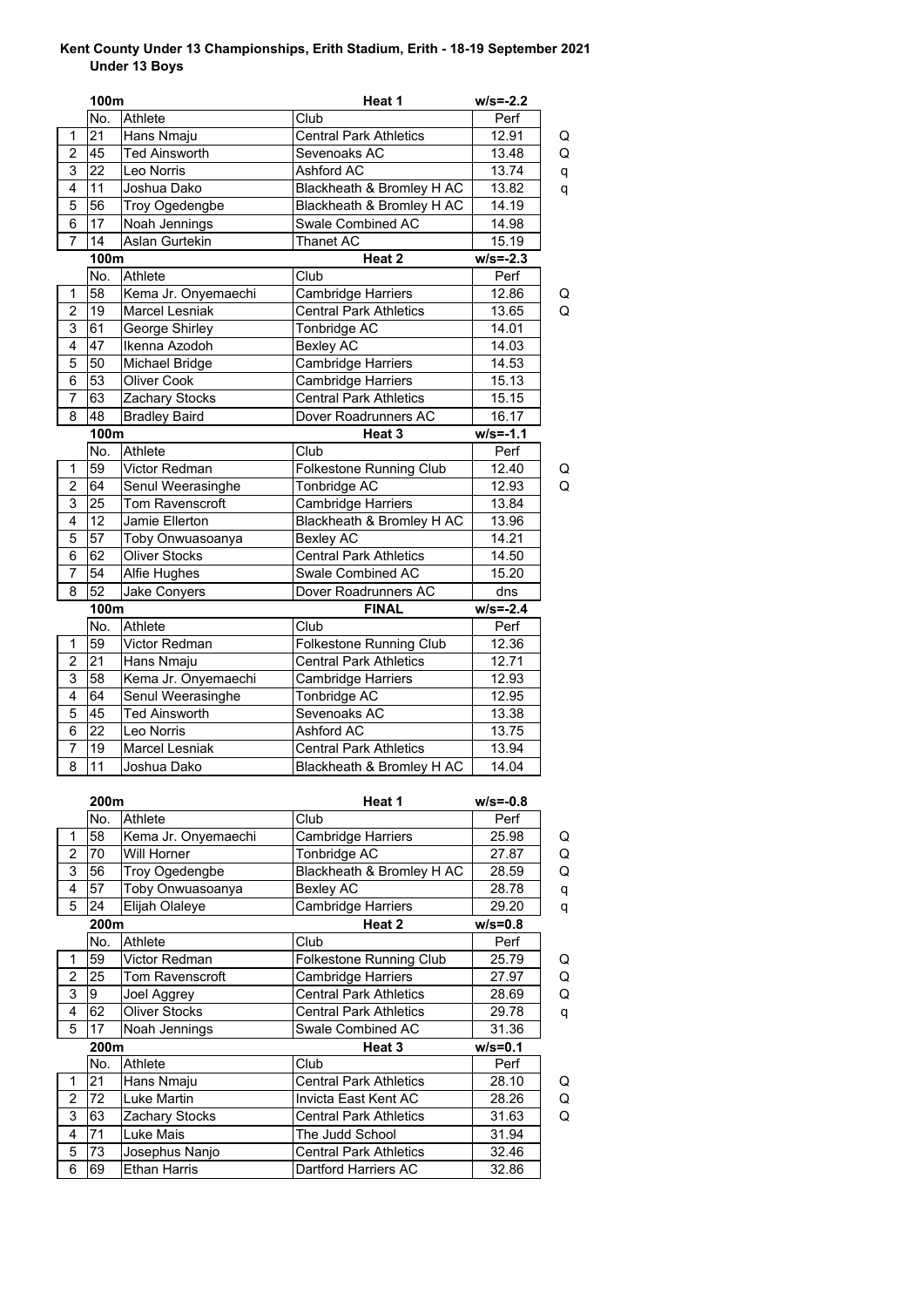## **Kent County Under 13 Championships, Erith Stadium, Erith - 18-19 September 2021 Under 13 Boys**

|                | 100m            |                                      | Heat 1                         | $w/s = -2.2$      |   |
|----------------|-----------------|--------------------------------------|--------------------------------|-------------------|---|
|                | No.             | Athlete                              | Club                           | Perf              |   |
| 1              | 21              | Hans Nmaju                           | <b>Central Park Athletics</b>  | 12.91             | Q |
| $\overline{2}$ | 45              | <b>Ted Ainsworth</b>                 | Sevenoaks AC                   | 13.48             | Q |
| $\overline{3}$ | 22              | Leo Norris                           | Ashford AC                     | 13.74             | q |
| 4              | 11              | Joshua Dako                          | Blackheath & Bromley H AC      | 13.82             | q |
| $\overline{5}$ | 56              | Troy Ogedengbe                       | Blackheath & Bromley H AC      | 14.19             |   |
| $\overline{6}$ | 17              | Noah Jennings                        | <b>Swale Combined AC</b>       | 14.98             |   |
| $\overline{7}$ | 14              | Aslan Gurtekin                       | Thanet AC                      | 15.19             |   |
|                | 100m            |                                      | Heat 2                         | $w/s = -2.3$      |   |
|                | No.             | Athlete                              | Club                           | Perf              |   |
| 1              | 58              | Kema Jr. Onyemaechi                  | <b>Cambridge Harriers</b>      | 12.86             | Q |
| $\overline{2}$ | 19              | <b>Marcel Lesniak</b>                | <b>Central Park Athletics</b>  | 13.65             | Q |
| $\overline{3}$ | 61              | George Shirley                       | Tonbridge AC                   | 14.01             |   |
| $\overline{4}$ | 47              | Ikenna Azodoh                        | <b>Bexley AC</b>               | 14.03             |   |
| $\overline{5}$ | $\overline{50}$ | Michael Bridge                       | Cambridge Harriers             | 14.53             |   |
| 6              | 53              | <b>Oliver Cook</b>                   | <b>Cambridge Harriers</b>      | 15.13             |   |
| $\overline{7}$ | 63              | <b>Zachary Stocks</b>                | <b>Central Park Athletics</b>  | 15.15             |   |
| $\overline{8}$ | 48              | <b>Bradley Baird</b>                 | Dover Roadrunners AC           | 16.17             |   |
|                | 100m            |                                      | Heat 3                         | $w/s = -1.1$      |   |
|                | No.             | Athlete                              | Club                           | Perf              |   |
| 1              | $\overline{59}$ | Victor Redman                        | <b>Folkestone Running Club</b> | 12.40             | Q |
| $\overline{c}$ | 64              | Senul Weerasinghe                    | Tonbridge AC                   | 12.93             | Q |
| $\overline{3}$ | 25              | Tom Ravenscroft                      | Cambridge Harriers             | 13.84             |   |
| 4              | 12              | Jamie Ellerton                       | Blackheath & Bromley H AC      | 13.96             |   |
| $\overline{5}$ | $\overline{57}$ | Toby Onwuasoanya                     | <b>Bexley AC</b>               | 14.21             |   |
| 6              | 62              | <b>Oliver Stocks</b>                 | <b>Central Park Athletics</b>  | 14.50             |   |
| $\overline{7}$ | 54              | Alfie Hughes                         | Swale Combined AC              | 15.20             |   |
| $\overline{8}$ | 52              | <b>Jake Conyers</b>                  | Dover Roadrunners AC           | $\overline{d}$ ns |   |
|                | 100m            |                                      | <b>FINAL</b>                   | $w/s = -2.4$      |   |
|                | No.             | Athlete                              | Club                           | Perf              |   |
| $\mathbf{1}$   | 59              | Victor Redman                        | <b>Folkestone Running Club</b> | 12.36             |   |
| $\overline{2}$ | $\overline{21}$ | Hans Nmaju                           | <b>Central Park Athletics</b>  | 12.71             |   |
| 3              | 58              | Kema Jr. Onyemaechi                  | Cambridge Harriers             | 12.93             |   |
| $\overline{4}$ | 64              | Senul Weerasinghe                    | Tonbridge AC                   |                   |   |
| $\overline{5}$ | 45              | <b>Ted Ainsworth</b><br>Sevenoaks AC |                                | 13.38             |   |
| 6              | $\overline{22}$ | Ashford AC<br>Leo Norris             |                                | 13.75             |   |
| $\overline{7}$ | 19              | <b>Marcel Lesniak</b>                | <b>Central Park Athletics</b>  | 13.94             |   |
| 8              | 11              | Joshua Dako                          | Blackheath & Bromley H AC      | 14.04             |   |
|                | 200m            |                                      | Heat 1                         | $w/s = -0.8$      |   |

|                | zuum |                      | пеат т                        | w/s=-v.o    |   |
|----------------|------|----------------------|-------------------------------|-------------|---|
|                | No.  | Athlete              | Club                          | Perf        |   |
| 1              | 58   | Kema Jr. Onyemaechi  | Cambridge Harriers            | 25.98       | Q |
| $\overline{2}$ | 70   | <b>Will Horner</b>   | Tonbridge AC                  | 27.87       | Q |
| 3              | 56   | Troy Ogedengbe       | Blackheath & Bromley H AC     | 28.59       | Q |
| 4              | 57   | Toby Onwuasoanya     | <b>Bexley AC</b>              | 28.78       | q |
| 5              | 24   | Elijah Olaleye       | Cambridge Harriers            | 29.20       | q |
|                | 200m |                      | Heat 2                        | $w/s = 0.8$ |   |
|                | No.  | Athlete              | Club                          | Perf        |   |
| 1              | 59   | Victor Redman        | Folkestone Running Club       | 25.79       | Q |
| $\overline{2}$ | 25   | Tom Ravenscroft      | Cambridge Harriers            | 27.97       | Q |
| 3              | 9    | Joel Aggrey          | <b>Central Park Athletics</b> | 28.69       | Q |
| 4              | 62   | <b>Oliver Stocks</b> | <b>Central Park Athletics</b> | 29.78       | q |
| 5              | 17   | Noah Jennings        | Swale Combined AC             | 31.36       |   |
|                | 200m |                      | Heat <sub>3</sub>             | $w/s = 0.1$ |   |
|                | No.  | Athlete              | Club                          | Perf        |   |
| 1              | 21   | Hans Nmaju           | <b>Central Park Athletics</b> | 28.10       | Q |
| $\overline{2}$ | 72   | Luke Martin          | Invicta East Kent AC          | 28.26       | Q |
| 3              | 63   | Zachary Stocks       | <b>Central Park Athletics</b> | 31.63       | Q |
| 4              | 71   | Luke Mais            | The Judd School               | 31.94       |   |
| 5              | 73   | Josephus Nanjo       | <b>Central Park Athletics</b> | 32.46       |   |
| 6              | 69   | <b>Ethan Harris</b>  | Dartford Harriers AC          | 32.86       |   |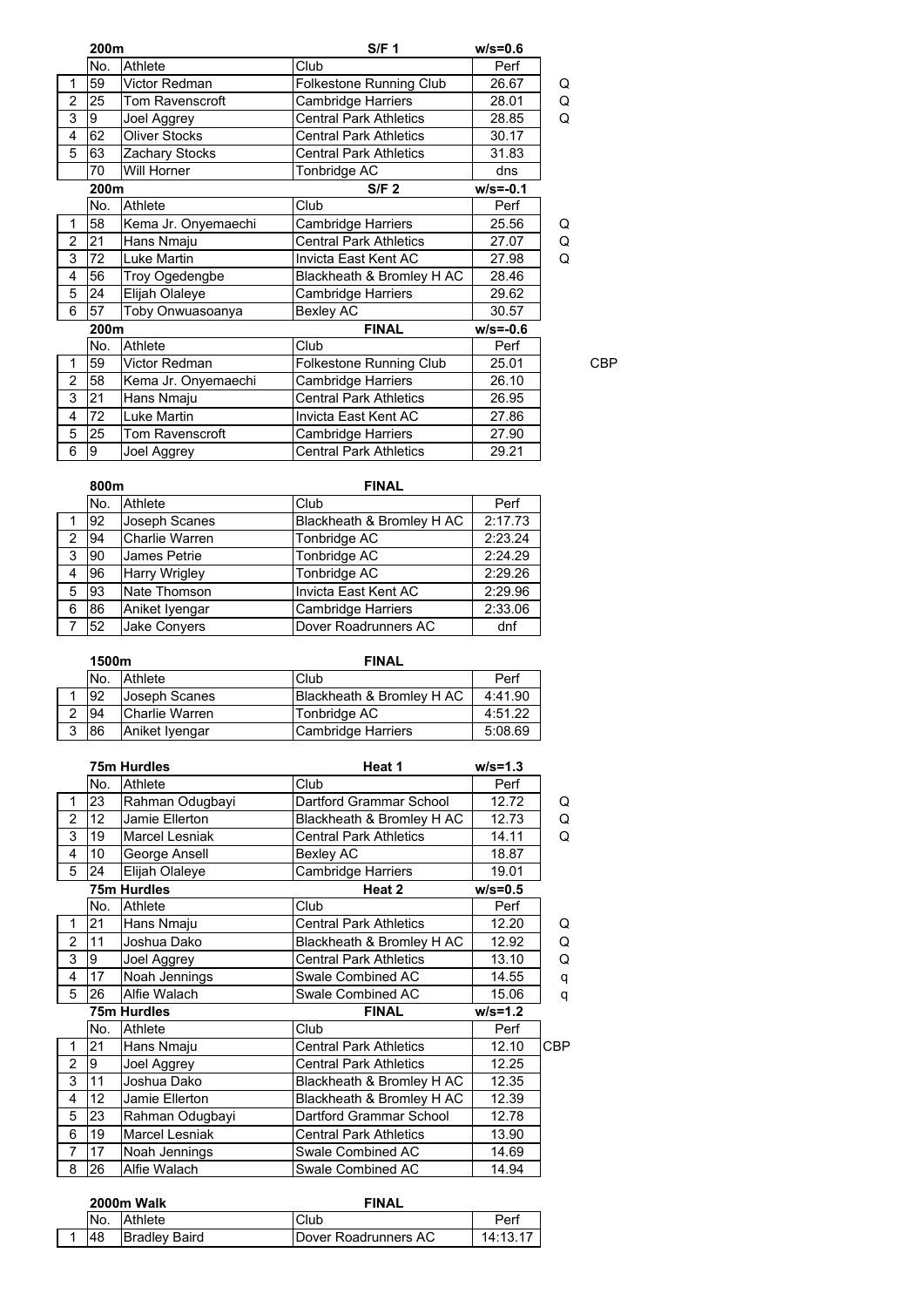|                | 200m |                      | S/F <sub>1</sub>              | $w/s = 0.6$  |   |     |
|----------------|------|----------------------|-------------------------------|--------------|---|-----|
|                | No.  | Athlete              | Club                          | Perf         |   |     |
| 1              | 59   | Victor Redman        | Folkestone Running Club       | 26.67        | Q |     |
| $\overline{2}$ | 25   | Tom Ravenscroft      | Cambridge Harriers            | 28.01        | Q |     |
| 3              | 9    | Joel Aggrey          | <b>Central Park Athletics</b> | 28.85        | Q |     |
| 4              | 62   | <b>Oliver Stocks</b> | <b>Central Park Athletics</b> | 30.17        |   |     |
| 5              | 63   | Zachary Stocks       | <b>Central Park Athletics</b> | 31.83        |   |     |
|                | 70   | Will Horner          | Tonbridge AC                  | dns          |   |     |
|                | 200m |                      | S/F <sub>2</sub>              | $w/s = -0.1$ |   |     |
|                | No.  | Athlete              | Club                          | Perf         |   |     |
| 1              | 58   | Kema Jr. Onyemaechi  | <b>Cambridge Harriers</b>     | 25.56        | Q |     |
| 2              | 21   | Hans Nmaju           | <b>Central Park Athletics</b> | 27.07        | Q |     |
| 3              | 72   | Luke Martin          | Invicta East Kent AC          | 27.98        | Q |     |
| 4              | 56   | Troy Ogedengbe       | Blackheath & Bromley H AC     | 28.46        |   |     |
| 5              | 24   | Elijah Olaleye       | Cambridge Harriers            | 29.62        |   |     |
| 6              | 57   | Toby Onwuasoanya     | Bexley AC                     | 30.57        |   |     |
|                | 200m |                      | <b>FINAL</b>                  | $w/s = -0.6$ |   |     |
|                | No.  | Athlete              | Club                          | Perf         |   |     |
| 1              | 59   | Victor Redman        | Folkestone Running Club       | 25.01        |   | CBP |
| $\overline{2}$ | 58   | Kema Jr. Onyemaechi  | <b>Cambridge Harriers</b>     | 26.10        |   |     |
| 3              | 21   | Hans Nmaju           | <b>Central Park Athletics</b> | 26.95        |   |     |
| 4              | 72   | Luke Martin          | Invicta East Kent AC          | 27.86        |   |     |
| 5              | 25   | Tom Ravenscroft      | <b>Cambridge Harriers</b>     | 27.90        |   |     |
| 6              | 9    | Joel Aggrey          | <b>Central Park Athletics</b> | 29.21        |   |     |

|   | 800m |                       | <b>FINAL</b>              |         |  |
|---|------|-----------------------|---------------------------|---------|--|
|   | No.  | Athlete               | Club                      | Perf    |  |
|   | 92   | Joseph Scanes         | Blackheath & Bromley H AC | 2:17.73 |  |
| 2 | 94   | <b>Charlie Warren</b> | Tonbridge AC              | 2:23.24 |  |
| 3 | 90   | <b>James Petrie</b>   | Tonbridge AC              | 2:24.29 |  |
| 4 | 96   | <b>Harry Wrigley</b>  | Tonbridge AC              | 2:29.26 |  |
| 5 | 93   | Nate Thomson          | Invicta East Kent AC      | 2:29.96 |  |
| 6 | 86   | Aniket Iyengar        | <b>Cambridge Harriers</b> | 2:33.06 |  |
| 7 | 52   | Jake Conyers          | Dover Roadrunners AC      | dnf     |  |

|   | 1500m |                      | <b>FINAL</b>              |         |
|---|-------|----------------------|---------------------------|---------|
|   | INo.  | Athlete              | Club                      | Perf    |
|   | 192   | <b>Joseph Scanes</b> | Blackheath & Bromley H AC | 4:41.90 |
|   | 94    | Charlie Warren       | Tonbridge AC              | 4:51.22 |
| 3 | 86    | Aniket Iyengar       | Cambridge Harriers        | 5:08.69 |

|                |     | <b>75m Hurdles</b>    | Heat 1                        | $w/s = 1.3$ |            |
|----------------|-----|-----------------------|-------------------------------|-------------|------------|
|                | No. | Athlete               | Club                          | Perf        |            |
| 1              | 23  | Rahman Odugbayi       | Dartford Grammar School       | 12.72       | Q          |
| $\overline{2}$ | 12  | Jamie Ellerton        | Blackheath & Bromley H AC     | 12.73       | Q          |
| 3              | 19  | <b>Marcel Lesniak</b> | <b>Central Park Athletics</b> | 14.11       | Q          |
| 4              | 10  | George Ansell         | <b>Bexley AC</b>              | 18.87       |            |
| 5              | 24  | Elijah Olaleye        | <b>Cambridge Harriers</b>     | 19.01       |            |
|                |     | <b>75m Hurdles</b>    | Heat 2                        | $w/s = 0.5$ |            |
|                | No. | Athlete               | Club                          | Perf        |            |
| 1              | 21  | Hans Nmaju            | <b>Central Park Athletics</b> | 12.20       | Q          |
| $\overline{2}$ | 11  | Joshua Dako           | Blackheath & Bromley H AC     | 12.92       | Q          |
| 3              | 9   | Joel Aggrey           | <b>Central Park Athletics</b> | 13.10       | Q          |
| 4              | 17  | Noah Jennings         | Swale Combined AC             | 14.55       | q          |
| 5              | 26  | Alfie Walach          | Swale Combined AC             | 15.06       | q          |
|                |     | <b>75m Hurdles</b>    | <b>FINAL</b>                  | $w/s = 1.2$ |            |
|                | No. | Athlete               | Club                          | Perf        |            |
| 1              | 21  | Hans Nmaju            | <b>Central Park Athletics</b> | 12.10       | <b>CBP</b> |
| $\overline{c}$ | 9   | Joel Aggrey           | <b>Central Park Athletics</b> | 12.25       |            |
| $\overline{3}$ | 11  | Joshua Dako           | Blackheath & Bromley H AC     | 12.35       |            |
| 4              | 12  | Jamie Ellerton        | Blackheath & Bromley H AC     | 12.39       |            |
| 5              | 23  | Rahman Odugbayi       | Dartford Grammar School       | 12.78       |            |
| 6              | 19  | <b>Marcel Lesniak</b> | <b>Central Park Athletics</b> | 13.90       |            |
| $\overline{7}$ | 17  | Noah Jennings         | Swale Combined AC             | 14.69       |            |
| 8              | 26  | Alfie Walach          | Swale Combined AC             | 14.94       |            |

| 2000m Walk |                      | FINAL                |          |
|------------|----------------------|----------------------|----------|
| No.        | <b>Athlete</b>       | Club                 | Per      |
| 48         | <b>Bradley Baird</b> | Dover Roadrunners AC | 14:13.17 |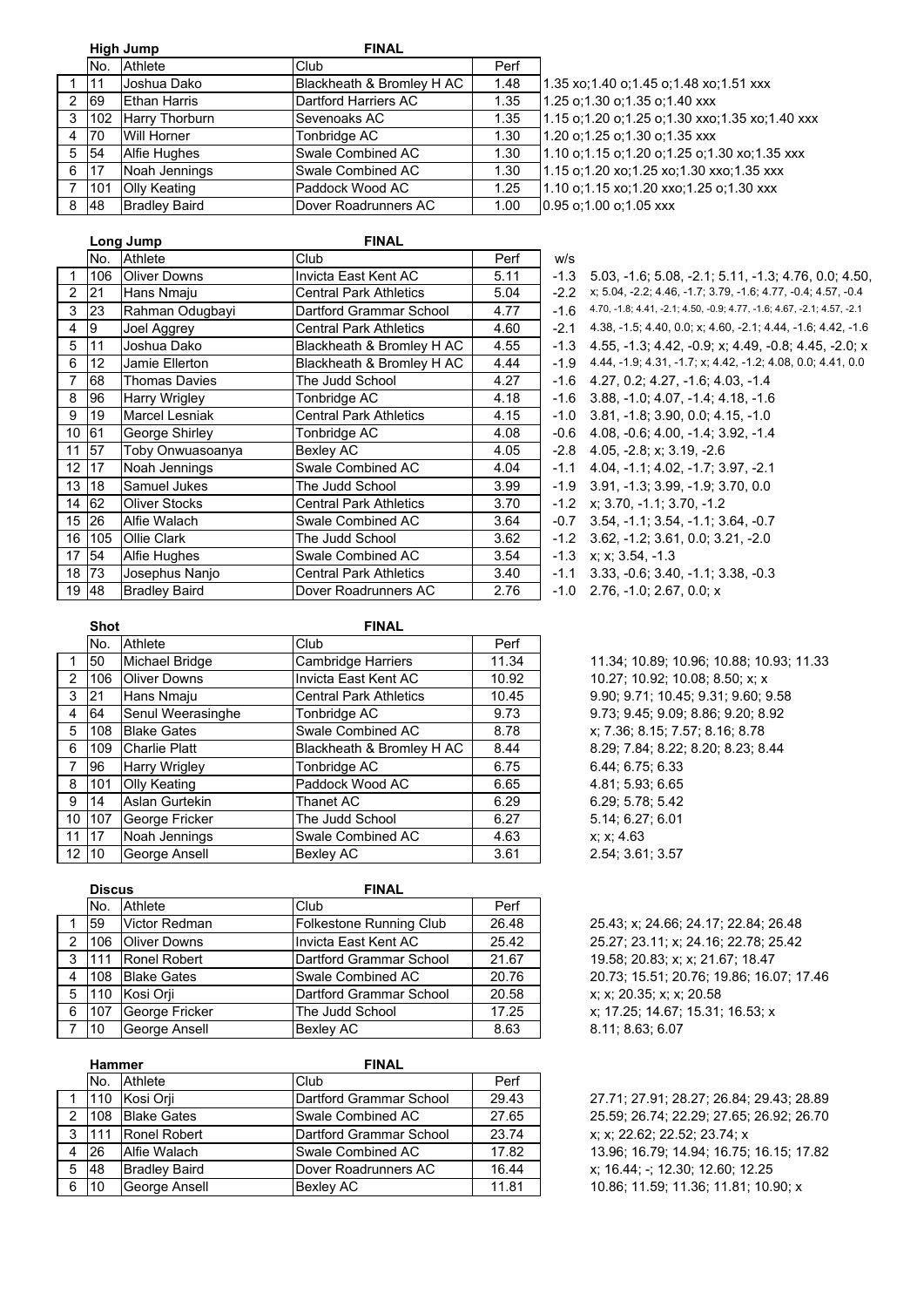|   | <b>High Jump</b> |                       | <b>FINAL</b>              |      |                                                     |
|---|------------------|-----------------------|---------------------------|------|-----------------------------------------------------|
|   | No.              | Athlete               | Club                      | Perf |                                                     |
|   | 11               | Joshua Dako           | Blackheath & Bromley H AC | 1.48 | 1.35 xo:1.40 o:1.45 o:1.48 xo:1.51 xxx              |
| 2 | <b>69</b>        | <b>Ethan Harris</b>   | Dartford Harriers AC      | 1.35 | 1.25 o:1.30 o:1.35 o:1.40 xxx                       |
| 3 | 102              | <b>Harry Thorburn</b> | Sevenoaks AC              | 1.35 | 1.15 o; 1.20 o; 1.25 o; 1.30 xxo; 1.35 xo; 1.40 xxx |
| 4 | 170              | Will Horner           | Tonbridge AC              | 1.30 | 1.20 o;1.25 o;1.30 o;1.35 xxx                       |
|   | 5 54             | <b>Alfie Hughes</b>   | Swale Combined AC         | 1.30 | 1.10 o:1.15 o:1.20 o:1.25 o:1.30 xo:1.35 xxx        |
| 6 | 17               | Noah Jennings         | Swale Combined AC         | 1.30 | 1.15 o;1.20 xo;1.25 xo;1.30 xxo;1.35 xxx            |
|   | 101              | <b>Olly Keating</b>   | Paddock Wood AC           | 1.25 | 1.10 o; 1.15 xo; 1.20 xxo; 1.25 o; 1.30 xxx         |
| 8 | 148              | <b>Bradley Baird</b>  | Dover Roadrunners AC      | 1.00 | $0.95$ o:1.00 o:1.05 xxx                            |

Long Jump **FINAL** 

No. Athlete Club Perf w/s 1 106 Oliver Downs Invicta East Kent AC 5.11 -1.3 5.03, -1.6; 5.08, -2.1; 5.11, -1.3; 4.76, 0.0; 4.50, 2 21 Hans Nmaju Central Park Athletics 5.04 -2.2 x; 5.04, -2.2; 4.46, -1.7; 3.79, -1.6; 4.77, -0.4; 4.57, -0.4 3 23 Rahman Odugbayi Dartford Grammar School 4.77 -1.6 4.70, -1.8; 4.41, -2.1; 4.50, -0.9; 4.77, -1.6; 4.67, -2.1; 4.57, -2.1; 4 9 Joel Aggrey Central Park Athletics 4.60 -2.1 4.38, -1.5; 4.40, 0.0; x; 4.60, -2.1; 4.44, -1.6; 4.42, -1.6 5 11 Joshua Dako Blackheath & Bromley H AC | 4.55 -1.3 4.55, -1.3; 4.42, -0.9; x; 4.49, -0.8; 4.45, -2.0; x 6 12 Jamie Ellerton Blackheath & Bromley H AC 4.44 -1.9 4.44, -1.9; 4.31, -1.7; x; 4.42, -1.2; 4.08, 0.0; 4.41, 0.0 7 68 Thomas Davies The Judd School 4.27 -1.6 4.27, 0.2; 4.27, -1.6; 4.03, -1.4 96 Harry Wrigley Tonbridge AC 4.18 -1.6 3.88, -1.0; 4.07, -1.4; 4.18, -1.6 9 19 Marcel Lesniak Central Park Athletics 4.15 -1.0 3.81, -1.8; 3.90, 0.0; 4.15, -1.0<br>10 61 George Shirley Tonbridge AC 4.08 -0.6 4.08, -0.6; 4.00, -1.4; 3.92, -1.4 10 61 George Shirley **Tonbridge AC** 4.08 -0.6 4.08, -0.6; 4.00, -1.4; 3.92, -1.4<br>11 57 Toby Onwuasoanya Bexley AC 4.05 -2.8 4.05, -2.8; x; 3.19, -2.6 11 4.05 -2.8 4.05, -2.8; x; 3.19, -2.6  $-1.1$   $4.04$ ,  $-1.1$ ;  $4.02$ ,  $-1.7$ ;  $3.97$ ,  $-2.1$  $-1.9$  3.91,  $-1.3$ ; 3.99,  $-1.9$ ; 3.70, 0.0  $-1.2$  x; 3.70,  $-1.1$ ; 3.70,  $-1.2$ 15 26 Alfie Walach Swale Combined AC 3.64 -0.7 3.54, -1.1; 3.54, -1.1; 3.64, -0.7 -1.2 3.62, -1.2; 3.61, 0.0; 3.21, -2.0  $-1.3$   $x; x; 3.54, -1.3$  $-1.1$  3.33,  $-0.6$ ; 3.40,  $-1.1$ ; 3.38,  $-0.3$  $-1.0$   $2.76$ ,  $-1.0$ ; 2.67, 0.0; x

| 12              | 117         | Noah Jennings        | Swale Combined AC             | 4.04  | -1.1   | $4.04, -1.1; 4.02,$ |
|-----------------|-------------|----------------------|-------------------------------|-------|--------|---------------------|
| 13 18           |             | Samuel Jukes         | The Judd School               | 3.99  | $-1.9$ | 3.91, -1.3; 3.99,   |
| 14              | 62          | <b>Oliver Stocks</b> | <b>Central Park Athletics</b> | 3.70  | $-1.2$ | x; 3.70, -1.1; 3.7  |
| 15              | 26          | Alfie Walach         | Swale Combined AC             | 3.64  | $-0.7$ | $3.54, -1.1; 3.54,$ |
|                 | 16 105      | Ollie Clark          | The Judd School               | 3.62  | $-1.2$ | $3.62, -1.2; 3.61,$ |
| 17              | 54          | Alfie Hughes         | Swale Combined AC             | 3.54  | $-1.3$ | x; x; 3.54, -1.3    |
| 18              | <b>73</b>   | Josephus Nanjo       | <b>Central Park Athletics</b> | 3.40  | $-1.1$ | 3.33, -0.6; 3.40,   |
| 19              | 48          | <b>Bradley Baird</b> | Dover Roadrunners AC          | 2.76  | $-1.0$ | $2.76, -1.0; 2.67,$ |
|                 |             |                      |                               |       |        |                     |
|                 | <b>Shot</b> |                      | <b>FINAL</b>                  |       |        |                     |
|                 | No.         | Athlete              | Club                          | Perf  |        |                     |
| 1               | 50          | Michael Bridge       | Cambridge Harriers            | 11.34 |        | 11.34; 10.89; 10    |
| 2               | 106         | <b>Oliver Downs</b>  | Invicta East Kent AC          | 10.92 |        | 10.27; 10.92; 10    |
| 3               | 21          | Hans Nmaju           | <b>Central Park Athletics</b> | 10.45 |        | 9.90; 9.71; 10.4    |
| 4               | 64          | Senul Weerasinghe    | Tonbridge AC                  | 9.73  |        | 9.73; 9.45; 9.09    |
| 5               | 108         | <b>Blake Gates</b>   | Swale Combined AC             | 8.78  |        | x; 7.36; 8.15; 7.   |
| 6               | 109         | <b>Charlie Platt</b> | Blackheath & Bromley H AC     | 8.44  |        | 8.29; 7.84; 8.22    |
| $\overline{7}$  | 96          | Harry Wrigley        | Tonbridge AC                  | 6.75  |        | 6.44; 6.75; 6.33    |
| 8               | 101         | Olly Keating         | Paddock Wood AC               | 6.65  |        | 4.81; 5.93; 6.65    |
| 9               | 14          | Aslan Gurtekin       | Thanet AC                     | 6.29  |        | 6.29; 5.78; 5.42    |
| 10 <sup>1</sup> | 107         | George Fricker       | The Judd School               | 6.27  |        | 5.14; 6.27; 6.01    |
| 11              | 17          | Noah Jennings        | Swale Combined AC             | 4.63  |        | x; x; 4.63          |
|                 | 12 10       | George Ansell        | Bexley AC                     | 3.61  |        | 2.54; 3.61; 3.57    |

11.34; 10.89; 10.96; 10.88; 10.93; 11.33 10.27; 10.92; 10.08; 8.50; x; x 9.90; 9.71; 10.45; 9.31; 9.60; 9.58 9.73; 9.45; 9.09; 8.86; 9.20; 8.92 x; 7.36; 8.15; 7.57; 8.16; 8.78 6 109 Charlie Platt Blackheath & Bromley H AC 8.44 8.29; 7.84; 8.22; 8.20; 8.23; 8.44 6.44; 6.75; 6.33 4.81; 5.93; 6.65 6.29; 5.78; 5.42 5.14; 6.27; 6.01

| 25.43: x: 24.66: 24.17: 22.84: 26.48     |
|------------------------------------------|
| 25.27; 23.11; x; 24.16; 22.78; 25.42     |
| 19.58: 20.83: x: x: 21.67: 18.47         |
| 20.73; 15.51; 20.76; 19.86; 16.07; 17.46 |
| x: x: 20.35: x: x: 20.58                 |
| x; 17.25; 14.67; 15.31; 16.53; x         |
| 8.11: 8.63: 6.07                         |
|                                          |

27.71: 27.91: 28.27: 26.84: 29.43: 28.89 25.59; 26.74; 22.29; 27.65; 26.92; 26.70 x; x; 22.62; 22.52; 23.74; x 13.96; 16.79; 14.94; 16.75; 16.15; 17.82 x; 16.44; -; 12.30; 12.60; 12.25 10 86; 11.59; 11.36; 11.81; 10.90; x

|   | <b>Discus</b> |                     | <b>FINAL</b>                   |       |                                          |
|---|---------------|---------------------|--------------------------------|-------|------------------------------------------|
|   | No.           | Athlete             | Club                           | Perf  |                                          |
|   | 59            | Victor Redman       | <b>Folkestone Running Club</b> | 26.48 | 25.43; x; 24.66; 24.17; 22.84; 26.48     |
| 2 | 106           | <b>Oliver Downs</b> | Invicta East Kent AC           | 25.42 | 25.27; 23.11; x; 24.16; 22.78; 25.42     |
| 3 | 111           | Ronel Robert        | Dartford Grammar School        | 21.67 | 19.58; 20.83; x; x; 21.67; 18.47         |
| 4 | 108           | <b>Blake Gates</b>  | Swale Combined AC              | 20.76 | 20.73; 15.51; 20.76; 19.86; 16.07; 17.46 |
| 5 | 110           | Kosi Orii           | Dartford Grammar School        | 20.58 | x; x; 20.35; x; x; 20.58                 |
| 6 | 107           | George Fricker      | The Judd School                | 17.25 | x; 17.25; 14.67; 15.31; 16.53; x         |
| 7 | 110           | George Ansell       | Bexley AC                      | 8.63  | 8.11: 8.63: 6.07                         |

|   | <b>Hammer</b> |                      | <b>FINAL</b>            |       |
|---|---------------|----------------------|-------------------------|-------|
|   | No.           | Athlete              | Club                    | Perf  |
|   | 110           | Kosi Orii            | Dartford Grammar School | 29.43 |
| 2 | 108           | <b>Blake Gates</b>   | Swale Combined AC       | 27.65 |
| 3 | 111           | Ronel Robert         | Dartford Grammar School | 23.74 |
| 4 | 26            | <b>Alfie Walach</b>  | Swale Combined AC       | 17.82 |
| 5 | 48            | <b>Bradley Baird</b> | Dover Roadrunners AC    | 16.44 |
| 6 | 10            | George Ansell        | Bexley AC               | 11.81 |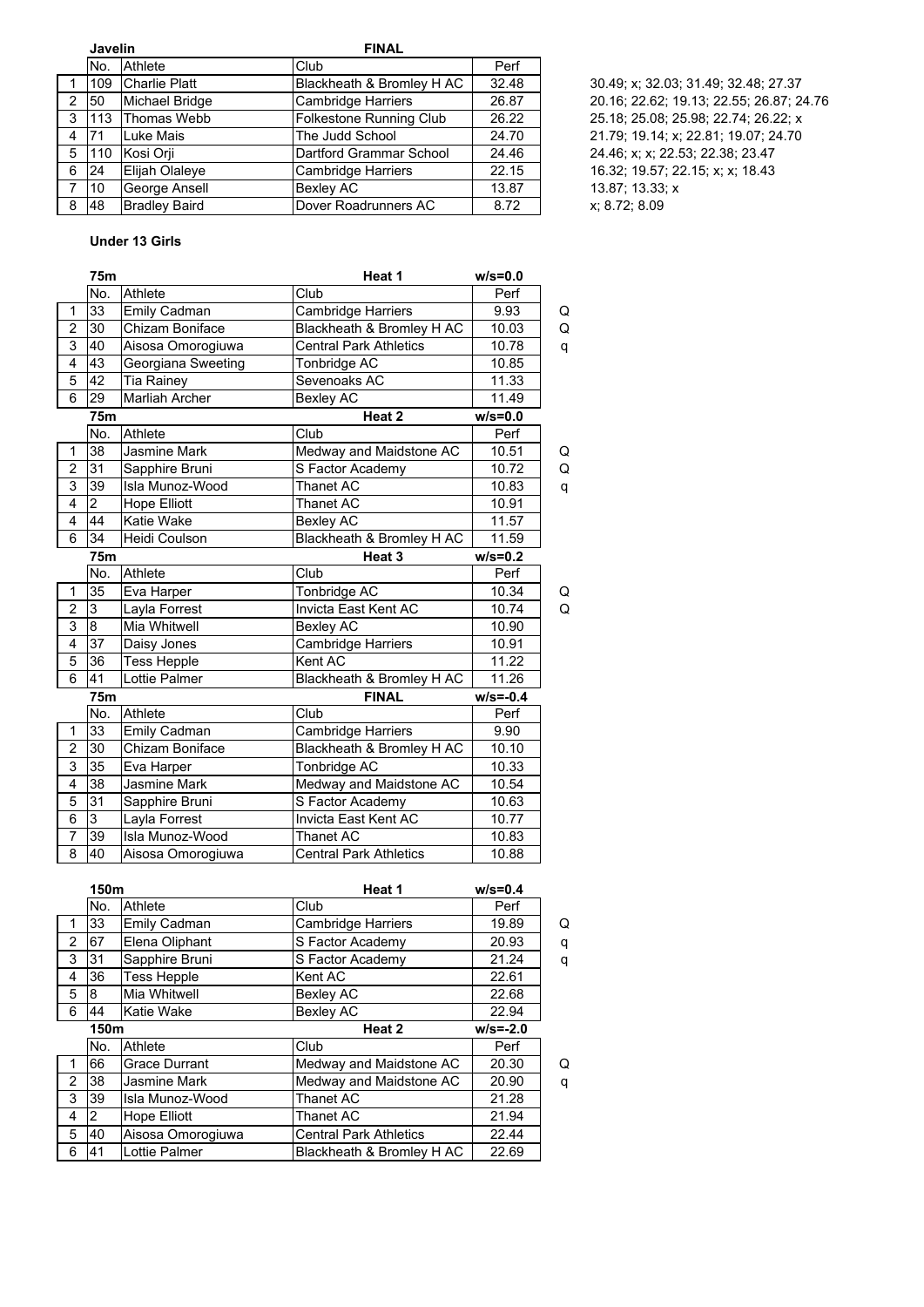|   | <b>Javelin</b> |                      | <b>FINAL</b>                   |       |  |
|---|----------------|----------------------|--------------------------------|-------|--|
|   | No.            | Athlete              | Club                           | Perf  |  |
|   | 109            | <b>Charlie Platt</b> | Blackheath & Bromley H AC      | 32.48 |  |
| 2 | 50             | Michael Bridge       | <b>Cambridge Harriers</b>      | 26.87 |  |
| 3 | 113            | <b>Thomas Webb</b>   | <b>Folkestone Running Club</b> | 26.22 |  |
| 4 | 71             | Luke Mais            | The Judd School                | 24.70 |  |
| 5 | 110            | Kosi Orii            | Dartford Grammar School        | 24.46 |  |
| 6 | 24             | Elijah Olaleye       | <b>Cambridge Harriers</b>      | 22.15 |  |
| 7 | 10             | George Ansell        | <b>Bexley AC</b>               | 13.87 |  |
| 8 | 48             | <b>Bradley Baird</b> | Dover Roadrunners AC           | 8.72  |  |

30.49; x; 32.03; 31.49; 32.48; 27.37 20.16; 22.62; 19.13; 22.55; 26.87; 24.76 25 18; 25 08; 25.98; 22.74; 26.22; x 21.79; 19.14; x; 22.81; 19.07; 24.70 24.46; x; x; 22.53; 22.38; 23.47 16.32; 19.57; 22.15; x; x; 18.43 13.87; 13.33; x x; 8.72; 8.09

## **Under 13 Girls**

|                         | 75m             |                       | Heat 1                        | $w/s = 0.0$  |   |
|-------------------------|-----------------|-----------------------|-------------------------------|--------------|---|
|                         | No.             | Athlete               | Club                          | Perf         |   |
| 1                       | 33              | Emily Cadman          | Cambridge Harriers            | 9.93         | Q |
| $\overline{2}$          | 30              | Chizam Boniface       | Blackheath & Bromley H AC     | 10.03        | Q |
| $\overline{3}$          | 40              | Aisosa Omorogiuwa     | <b>Central Park Athletics</b> | 10.78        | q |
| 4                       | 43              | Georgiana Sweeting    | Tonbridge AC                  | 10.85        |   |
| 5                       | 42              | <b>Tia Rainey</b>     | Sevenoaks AC                  | 11.33        |   |
| 6                       | 29              | <b>Marliah Archer</b> | <b>Bexley AC</b>              | 11.49        |   |
|                         | <b>75m</b>      |                       | Heat 2                        | $w/s = 0.0$  |   |
|                         | No.             | Athlete               | Club                          | Perf         |   |
| 1                       | 38              | <b>Jasmine Mark</b>   | Medway and Maidstone AC       | 10.51        | Q |
| $\overline{c}$          | 31              | Sapphire Bruni        | S Factor Academy              | 10.72        | Q |
| $\overline{3}$          | 39              | Isla Munoz-Wood       | Thanet AC                     | 10.83        | q |
| 4                       | $\overline{2}$  | <b>Hope Elliott</b>   | Thanet AC                     | 10.91        |   |
| $\overline{\mathbf{4}}$ | 44              | Katie Wake            | <b>Bexley AC</b>              | 11.57        |   |
| 6                       | 34              | Heidi Coulson         | Blackheath & Bromley H AC     | 11.59        |   |
|                         | <b>75m</b>      |                       | Heat 3                        | $w/s = 0.2$  |   |
|                         | No.             | Athlete               | Club                          | Perf         |   |
| 1                       | 35              | Eva Harper            | Tonbridge AC                  | 10.34        | Q |
| $\overline{2}$          | $\overline{3}$  | Layla Forrest         | Invicta East Kent AC          | 10.74        | Q |
| 3                       | $\overline{8}$  | <b>Mia Whitwell</b>   | <b>Bexley AC</b>              | 10.90        |   |
| $\overline{\mathbf{4}}$ | 37              | Daisy Jones           | Cambridge Harriers            | 10.91        |   |
| 5                       | 36              | <b>Tess Hepple</b>    | Kent AC                       | 11.22        |   |
| 6                       | 41              | Lottie Palmer         | Blackheath & Bromley H AC     | 11.26        |   |
|                         | 75m             |                       | <b>FINAL</b>                  | $w/s = -0.4$ |   |
|                         | No.             | Athlete               | Club                          | Perf         |   |
| 1                       | 33              | Emily Cadman          | Cambridge Harriers            | 9.90         |   |
| $\overline{c}$          | 30              | Chizam Boniface       | Blackheath & Bromley H AC     | 10.10        |   |
| $\overline{3}$          | 35              | Eva Harper            | Tonbridge AC                  | 10.33        |   |
| 4                       | 38              | <b>Jasmine Mark</b>   | Medway and Maidstone AC       | 10.54        |   |
| 5                       | 31              | Sapphire Bruni        | S Factor Academy              | 10.63        |   |
| 6                       | 3               | Layla Forrest         | Invicta East Kent AC          | 10.77        |   |
| $\overline{7}$          | 39              | Isla Munoz-Wood       | Thanet AC                     | 10.83        |   |
| $\overline{8}$          | $\overline{40}$ | Aisosa Omorogiuwa     | <b>Central Park Athletics</b> | 10.88        |   |

|                | 150m |                      | Heat 1                        | $w/s = 0.4$  |   |
|----------------|------|----------------------|-------------------------------|--------------|---|
|                | No.  | Athlete              | Club                          | Perf         |   |
| 1              | 33   | Emily Cadman         | <b>Cambridge Harriers</b>     | 19.89        | Q |
| $\mathfrak{p}$ | 67   | Elena Oliphant       | S Factor Academy              | 20.93        | q |
| 3              | 31   | Sapphire Bruni       | S Factor Academy              | 21.24        | q |
| 4              | 36   | <b>Tess Hepple</b>   | Kent AC                       | 22.61        |   |
| 5              | 8    | Mia Whitwell         | Bexley AC                     | 22.68        |   |
| 6              | 44   | Katie Wake           | <b>Bexley AC</b>              | 22.94        |   |
|                | 150m |                      |                               |              |   |
|                |      |                      | Heat 2                        | $w/s = -2.0$ |   |
|                | No.  | Athlete              | Club                          | Perf         |   |
| 1              | 66   | <b>Grace Durrant</b> | Medway and Maidstone AC       | 20.30        | Q |
| $\overline{2}$ | 38   | Jasmine Mark         | Medway and Maidstone AC       | 20.90        | q |
| 3              | 39   | Isla Munoz-Wood      | Thanet AC                     | 21.28        |   |
| 4              | 2    | Hope Elliott         | Thanet AC                     | 21.94        |   |
| 5              | 40   | Aisosa Omorogiuwa    | <b>Central Park Athletics</b> | 22.44        |   |
| 6              | 41   | Lottie Palmer        | Blackheath & Bromley H AC     | 22.69        |   |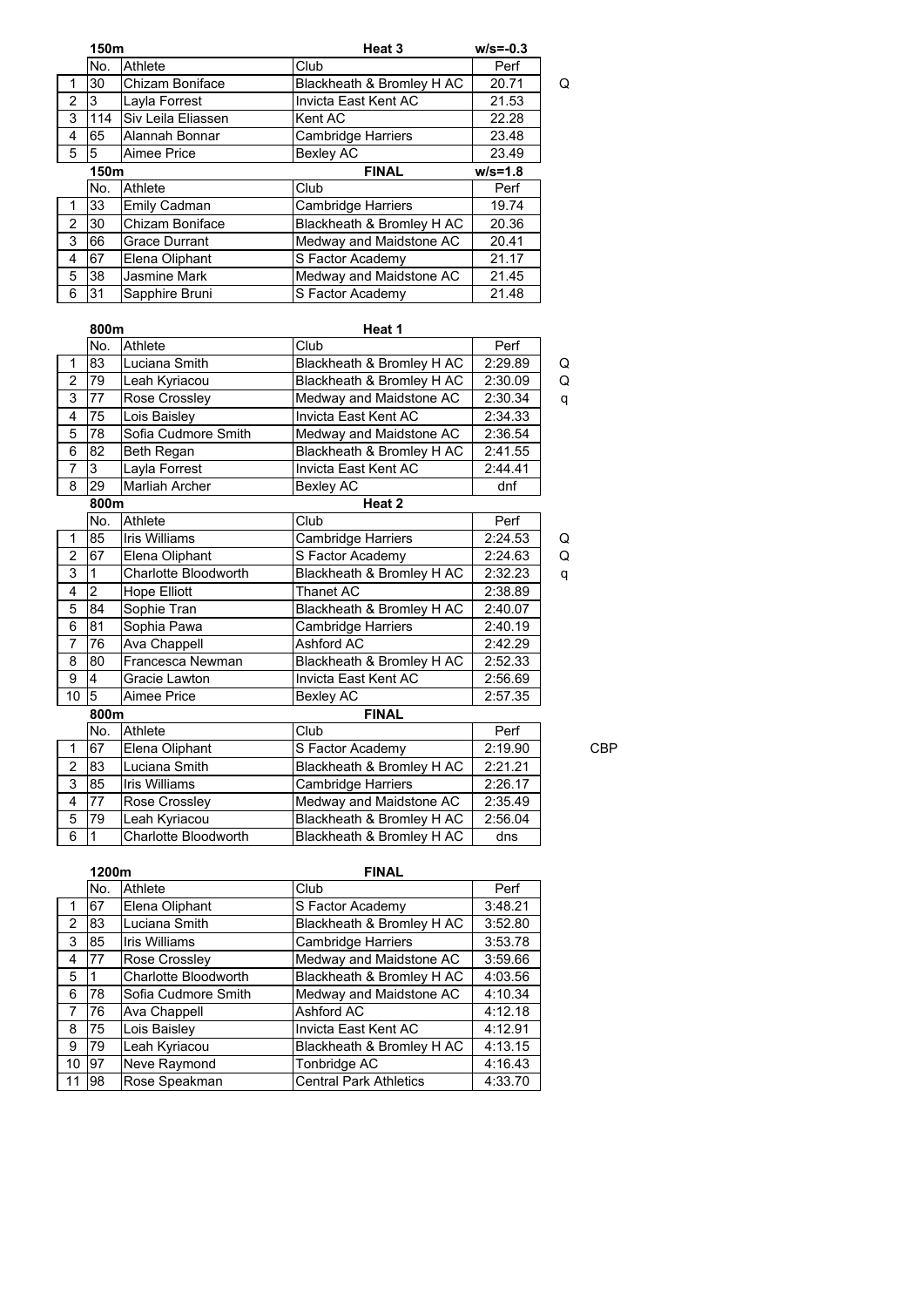|                | 150m |                      | Heat <sub>3</sub>         | $w/s = -0.3$ |   |
|----------------|------|----------------------|---------------------------|--------------|---|
|                | No.  | Athlete              | Club                      | Perf         |   |
| 1              | 30   | Chizam Boniface      | Blackheath & Bromley H AC | 20.71        | Q |
| $\overline{2}$ | 3    | Layla Forrest        | Invicta East Kent AC      | 21.53        |   |
| 3              | 114  | Siv Leila Eliassen   | Kent AC                   | 22.28        |   |
| 4              | 65   | Alannah Bonnar       | <b>Cambridge Harriers</b> | 23.48        |   |
| 5              | 5    | Aimee Price          | <b>Bexley AC</b>          | 23.49        |   |
|                | 150m |                      | <b>FINAL</b>              | $w/s = 1.8$  |   |
|                | No.  | Athlete              | Club                      | Perf         |   |
| 1              | 33   | Emily Cadman         | <b>Cambridge Harriers</b> | 19.74        |   |
| $\mathfrak{p}$ | 30   | Chizam Boniface      | Blackheath & Bromley H AC | 20.36        |   |
| 3              | 66   | <b>Grace Durrant</b> | Medway and Maidstone AC   | 20.41        |   |
| 4              | 67   | Elena Oliphant       | S Factor Academy          | 21.17        |   |
| 5              | 38   | <b>Jasmine Mark</b>  | Medway and Maidstone AC   | 21.45        |   |
| 6              | 31   | Sapphire Bruni       | S Factor Academy          | 21.48        |   |

|                           | 800m           |                       | Heat 1                    |         |   |     |
|---------------------------|----------------|-----------------------|---------------------------|---------|---|-----|
|                           | No.            | Athlete               | Club                      | Perf    |   |     |
| 1                         | 83             | Luciana Smith         | Blackheath & Bromley H AC | 2:29.89 | Q |     |
| $\overline{2}$            | 79             | Leah Kyriacou         | Blackheath & Bromley H AC | 2:30.09 | Q |     |
| $\overline{\overline{3}}$ | 77             | Rose Crossley         | Medway and Maidstone AC   | 2:30.34 | q |     |
| 4                         | 75             | Lois Baisley          | Invicta East Kent AC      | 2:34.33 |   |     |
| 5                         | 78             | Sofia Cudmore Smith   | Medway and Maidstone AC   | 2:36.54 |   |     |
| 6                         | 82             | Beth Regan            | Blackheath & Bromley H AC | 2:41.55 |   |     |
| $\overline{7}$            | 3              | Layla Forrest         | Invicta East Kent AC      | 2:44.41 |   |     |
| 8                         | 29             | <b>Marliah Archer</b> | <b>Bexley AC</b>          | dnf     |   |     |
|                           | 800m           |                       | Heat <sub>2</sub>         |         |   |     |
|                           | No.            | Athlete               | Club                      | Perf    |   |     |
| 1                         | 85             | <b>Iris Williams</b>  | Cambridge Harriers        | 2:24.53 | Q |     |
| $\overline{2}$            | 67             | Elena Oliphant        | S Factor Academy          | 2:24.63 | Q |     |
| 3                         | $\overline{1}$ | Charlotte Bloodworth  | Blackheath & Bromley H AC | 2:32.23 | q |     |
| 4                         | 2              | <b>Hope Elliott</b>   | Thanet AC                 | 2:38.89 |   |     |
| 5                         | 84             | Sophie Tran           | Blackheath & Bromley H AC | 2:40.07 |   |     |
| 6                         | 81             | Sophia Pawa           | Cambridge Harriers        | 2:40.19 |   |     |
| 7                         | 76             | Ava Chappell          | Ashford AC                | 2:42.29 |   |     |
| 8                         | 80             | Francesca Newman      | Blackheath & Bromley H AC | 2:52.33 |   |     |
| 9                         | 4              | Gracie Lawton         | Invicta East Kent AC      | 2:56.69 |   |     |
| 10                        | 15             | Aimee Price           | <b>Bexley AC</b>          | 2:57.35 |   |     |
|                           | 800m           |                       | <b>FINAL</b>              |         |   |     |
|                           | No.            | Athlete               | Club                      | Perf    |   |     |
| 1                         | 67             | Elena Oliphant        | S Factor Academy          | 2:19.90 |   | CBP |
| $\overline{2}$            | 83             | Luciana Smith         | Blackheath & Bromley H AC | 2:21.21 |   |     |
| 3                         | 85             | <b>Iris Williams</b>  | Cambridge Harriers        | 2:26.17 |   |     |
| 4                         | 77             | Rose Crossley         | Medway and Maidstone AC   | 2:35.49 |   |     |
| 5                         | 79             | Leah Kyriacou         | Blackheath & Bromley H AC | 2:56.04 |   |     |
| 6                         | $\vert$ 1      | Charlotte Bloodworth  | Blackheath & Bromley H AC | dns     |   |     |

|                | 1200m |                             | <b>FINAL</b>                  |                      |
|----------------|-------|-----------------------------|-------------------------------|----------------------|
|                | No.   | Athlete                     | Club                          | Perf                 |
|                | 67    | Elena Oliphant              | S Factor Academy              | 3:48.21              |
| $\mathfrak{p}$ | 83    | Luciana Smith               | Blackheath & Bromley H AC     | 3:52.80              |
| 3              | 85    | <b>Iris Williams</b>        | <b>Cambridge Harriers</b>     | 3:53.78              |
| 4              | 77    | Rose Crossley               | Medway and Maidstone AC       | 3:59.66              |
| 5              |       | <b>Charlotte Bloodworth</b> | Blackheath & Bromley H AC     | 4:03.56              |
| 6              | 78    | Sofia Cudmore Smith         | Medway and Maidstone AC       | 4:10.34              |
| 7              | 76    | Ava Chappell                | Ashford AC                    | $\overline{4:}12.18$ |
| 8              | 75    | Lois Baisley                | Invicta East Kent AC          | 4:12.91              |
| 9              | 79    | Leah Kyriacou               | Blackheath & Bromley H AC     | 4:13.15              |
| 10             | 97    | Neve Raymond                | Tonbridge AC                  | 4:16.43              |
| 11             | 98    | Rose Speakman               | <b>Central Park Athletics</b> | 4:33.70              |